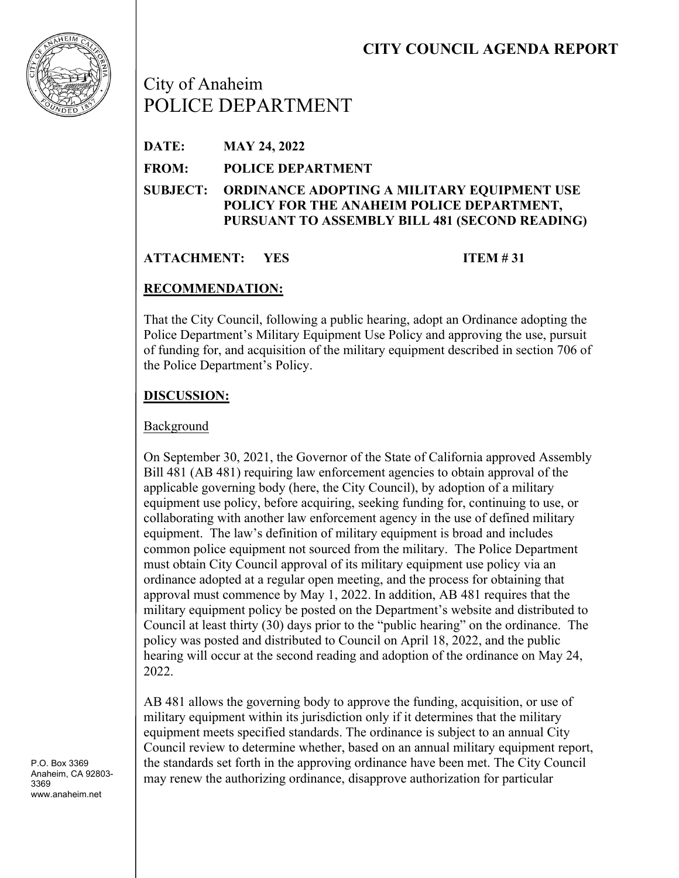# **CITY COUNCIL AGENDA REPORT**



City of Anaheim POLICE DEPARTMENT

| DATE:        | <b>MAY 24, 2022</b>                                                                                                                                 |
|--------------|-----------------------------------------------------------------------------------------------------------------------------------------------------|
| <b>FROM:</b> | <b>POLICE DEPARTMENT</b>                                                                                                                            |
|              | SUBJECT: ORDINANCE ADOPTING A MILITARY EQUIPMENT USE<br>POLICY FOR THE ANAHEIM POLICE DEPARTMENT,<br>PURSUANT TO ASSEMBLY BILL 481 (SECOND READING) |

## **ATTACHMENT: YES ITEM # 31**

## **RECOMMENDATION:**

That the City Council, following a public hearing, adopt an Ordinance adopting the Police Department's Military Equipment Use Policy and approving the use, pursuit of funding for, and acquisition of the military equipment described in section 706 of the Police Department's Policy.

## **DISCUSSION:**

#### Background

On September 30, 2021, the Governor of the State of California approved Assembly Bill 481 (AB 481) requiring law enforcement agencies to obtain approval of the applicable governing body (here, the City Council), by adoption of a military equipment use policy, before acquiring, seeking funding for, continuing to use, or collaborating with another law enforcement agency in the use of defined military equipment. The law's definition of military equipment is broad and includes common police equipment not sourced from the military. The Police Department must obtain City Council approval of its military equipment use policy via an ordinance adopted at a regular open meeting, and the process for obtaining that approval must commence by May 1, 2022. In addition, AB 481 requires that the military equipment policy be posted on the Department's website and distributed to Council at least thirty (30) days prior to the "public hearing" on the ordinance. The policy was posted and distributed to Council on April 18, 2022, and the public hearing will occur at the second reading and adoption of the ordinance on May 24, 2022.

AB 481 allows the governing body to approve the funding, acquisition, or use of military equipment within its jurisdiction only if it determines that the military equipment meets specified standards. The ordinance is subject to an annual City Council review to determine whether, based on an annual military equipment report, the standards set forth in the approving ordinance have been met. The City Council may renew the authorizing ordinance, disapprove authorization for particular

P.O. Box 3369 Anaheim, CA 92803- 3369 www.anaheim.net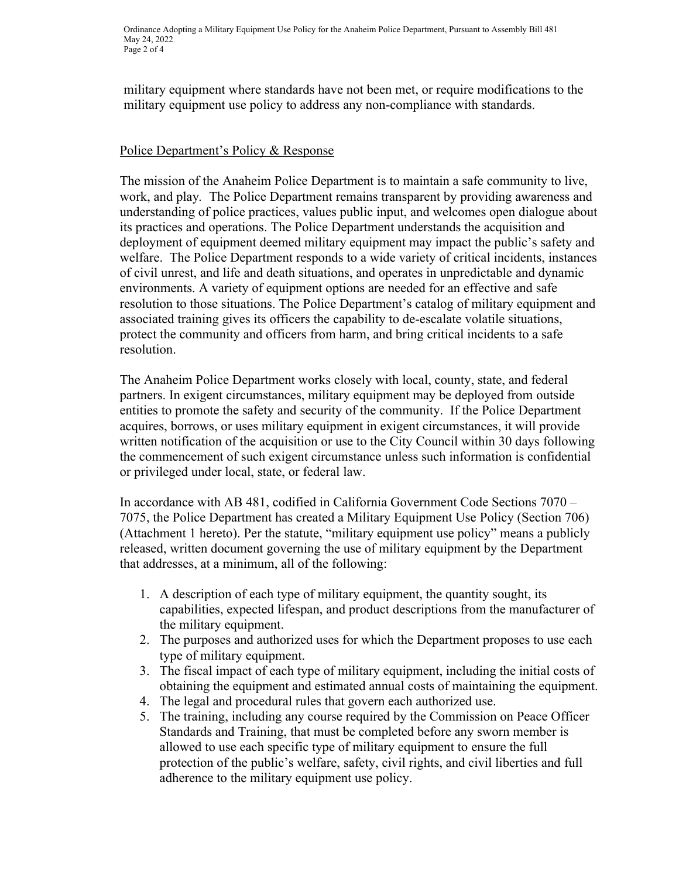military equipment where standards have not been met, or require modifications to the military equipment use policy to address any non-compliance with standards.

#### Police Department's Policy & Response

The mission of the Anaheim Police Department is to maintain a safe community to live, work, and play*.* The Police Department remains transparent by providing awareness and understanding of police practices, values public input, and welcomes open dialogue about its practices and operations. The Police Department understands the acquisition and deployment of equipment deemed military equipment may impact the public's safety and welfare. The Police Department responds to a wide variety of critical incidents, instances of civil unrest, and life and death situations, and operates in unpredictable and dynamic environments. A variety of equipment options are needed for an effective and safe resolution to those situations. The Police Department's catalog of military equipment and associated training gives its officers the capability to de-escalate volatile situations, protect the community and officers from harm, and bring critical incidents to a safe resolution.

The Anaheim Police Department works closely with local, county, state, and federal partners. In exigent circumstances, military equipment may be deployed from outside entities to promote the safety and security of the community. If the Police Department acquires, borrows, or uses military equipment in exigent circumstances, it will provide written notification of the acquisition or use to the City Council within 30 days following the commencement of such exigent circumstance unless such information is confidential or privileged under local, state, or federal law.

In accordance with AB 481, codified in California Government Code Sections 7070 – 7075, the Police Department has created a Military Equipment Use Policy (Section 706) (Attachment 1 hereto). Per the statute, "military equipment use policy" means a publicly released, written document governing the use of military equipment by the Department that addresses, at a minimum, all of the following:

- 1. A description of each type of military equipment, the quantity sought, its capabilities, expected lifespan, and product descriptions from the manufacturer of the military equipment.
- 2. The purposes and authorized uses for which the Department proposes to use each type of military equipment.
- 3. The fiscal impact of each type of military equipment, including the initial costs of obtaining the equipment and estimated annual costs of maintaining the equipment.
- 4. The legal and procedural rules that govern each authorized use.
- 5. The training, including any course required by the Commission on Peace Officer Standards and Training, that must be completed before any sworn member is allowed to use each specific type of military equipment to ensure the full protection of the public's welfare, safety, civil rights, and civil liberties and full adherence to the military equipment use policy.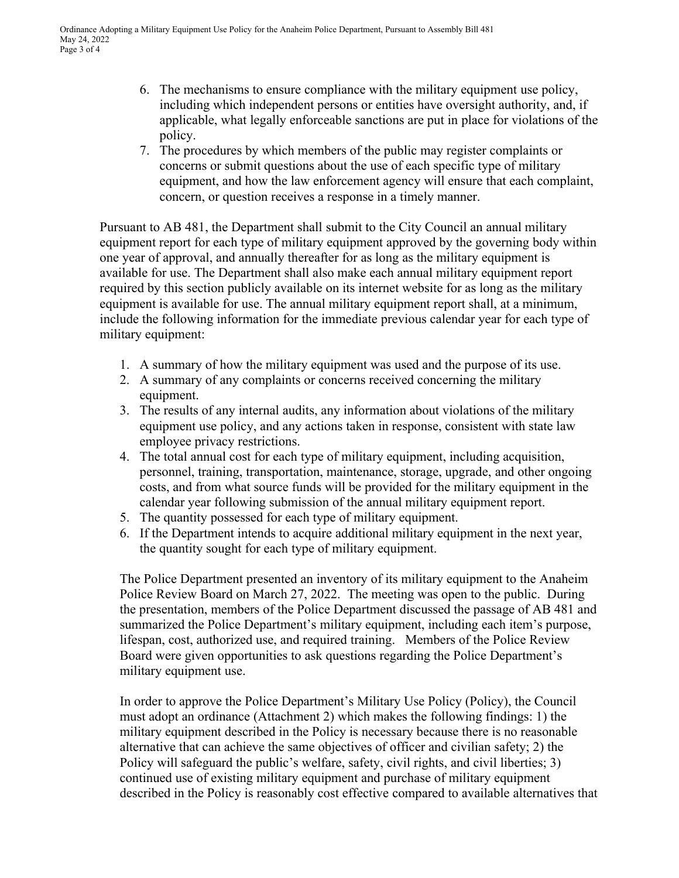- 6. The mechanisms to ensure compliance with the military equipment use policy, including which independent persons or entities have oversight authority, and, if applicable, what legally enforceable sanctions are put in place for violations of the policy.
- 7. The procedures by which members of the public may register complaints or concerns or submit questions about the use of each specific type of military equipment, and how the law enforcement agency will ensure that each complaint, concern, or question receives a response in a timely manner.

Pursuant to AB 481, the Department shall submit to the City Council an annual military equipment report for each type of military equipment approved by the governing body within one year of approval, and annually thereafter for as long as the military equipment is available for use. The Department shall also make each annual military equipment report required by this section publicly available on its internet website for as long as the military equipment is available for use. The annual military equipment report shall, at a minimum, include the following information for the immediate previous calendar year for each type of military equipment:

- 1. A summary of how the military equipment was used and the purpose of its use.
- 2. A summary of any complaints or concerns received concerning the military equipment.
- 3. The results of any internal audits, any information about violations of the military equipment use policy, and any actions taken in response, consistent with state law employee privacy restrictions.
- 4. The total annual cost for each type of military equipment, including acquisition, personnel, training, transportation, maintenance, storage, upgrade, and other ongoing costs, and from what source funds will be provided for the military equipment in the calendar year following submission of the annual military equipment report.
- 5. The quantity possessed for each type of military equipment.
- 6. If the Department intends to acquire additional military equipment in the next year, the quantity sought for each type of military equipment.

The Police Department presented an inventory of its military equipment to the Anaheim Police Review Board on March 27, 2022. The meeting was open to the public. During the presentation, members of the Police Department discussed the passage of AB 481 and summarized the Police Department's military equipment, including each item's purpose, lifespan, cost, authorized use, and required training. Members of the Police Review Board were given opportunities to ask questions regarding the Police Department's military equipment use.

In order to approve the Police Department's Military Use Policy (Policy), the Council must adopt an ordinance (Attachment 2) which makes the following findings: 1) the military equipment described in the Policy is necessary because there is no reasonable alternative that can achieve the same objectives of officer and civilian safety; 2) the Policy will safeguard the public's welfare, safety, civil rights, and civil liberties; 3) continued use of existing military equipment and purchase of military equipment described in the Policy is reasonably cost effective compared to available alternatives that